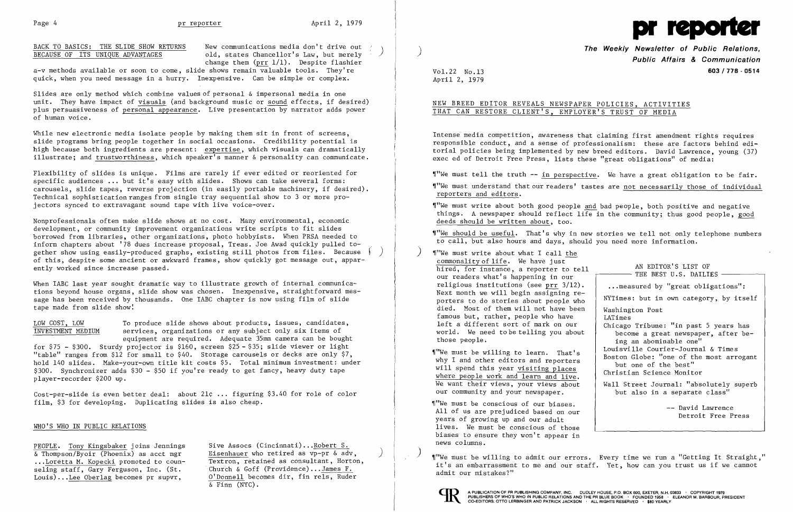

BACK TO BASICS: THE SLIDE SHOW RETURNS BECAUSE OF ITS UNIQUE ADVANTAGES

New communications media don't drive out old, states Chancellor's Law, but merely change them  $(prr 1/1)$ . Despite flashier

a-v methods available or soon to come, slide shows remain valuable tools. They're quick, when you need message in a hurry. Inexpensive. Can be simple or complex.

While new electronic media isolate people by making them sit in front of screens, slide programs bring people together in social occasions. Credibility potential is high because both ingredients are present: expertise, which visuals can dramatically illustrate; and trustworthiness, which speaker's manner & personality can communicate.

Slides are only method which combine values of personal & impersonal media in one unit. They have impact of visuals (and background music or sound effects, if desired) plus persuasiveness of personal appearance. Live presentation by narrator adds power of human voice.

Flexibility of slides is unique. Films are rarely if ever edited or reoriented for specific audiences **.,.** but it's easy with slides. Shows can take several forms: carousels, slide tapes, reverse projection (in easily portable machinery, if desired). Technical sophistication ranges from single tray sequential show to 3 or more projectors synced to extravagant sound tape with live voice-over.

Cost-per-s1ide is even better deal: about 21¢ **...** figuring \$3.40 for role of color film, \$3 for developing. Duplicating slides is also cheap.

**The Weekly Newsletter of Public Relations. Public Affairs & Communication**  Vol. 22 No.13 **603/778 - 0514** 

"We must write about both good people and bad people, both positive and negative things. A newspaper should reflect life in the community; thus good people, good deeds should be written about, too.

Nonprofessionals often make slide shows at no cost. Many environmental, economic development, or community improvement organizations write scripts to fit slides borrowed from libraries, other organizations, photo hobbyists. When PRSA needed to inform chapters about '78 dues increase proposal, Treas. Joe Awad quickly pulled together show using easily-produced graphs, existing still photos from files. Because of this, despite some ancient or awkward frames, show quickly got message out, apparently worked since increase passed. *r*  )

When IABC last year sought dramatic way to illustrate growth of internal communications beyond house organs, slide show was chosen. Inexpensive, straightforward message has been received by thousands. One IABC chapter is now using film of slide tape made from slide show!

"We must write about what I call the commonality of life. We have just hired, for instance, a reporter to tell our readers what's happening in our religious institutions (see prr 3/12). Next month we will begin assigning reporters to do stories about people who died. Most of them will not have been famous but, rather, people who have left a different sort of mark on our world. We need to be telling you about those people.

"We must be willing to learn. That's why I and other editors and reporters will spend this year visiting places where people work and learn and live. We want their views, your views about our community and your newspaper.

To produce slide shows about products, issues, candidates, services, organizations or any subject only six items of equipment are required. Adequate 35mm camera can be bought for \$75 - \$300. Sturdy projector is \$160, screen \$25 - \$35; slide viewer or light "table" ranges from \$12 for small to \$40. Storage carousels or decks are only \$7, hold 140 slides. Make-your-own title kit costs \$5. Total minimum investment: under \$300. Synchronizer adds \$30 - \$50 if you're ready to get fancy, heavy duty tape player-recorder \$200 up. LOW COST, LOW INVESTMENT MEDIUM

> I'We must be conscious of our biases. All of us are prejudiced based on our years of growing up and our adult lives. We must be conscious of those biases to ensure they won't appear in news columns.

)  $\gamma$  we must be willing to admit our errors. Every time we run a "Getting It Straight," it's an embarrassment to me and our staff. Yet, how can you trust us if we cannot admit our mistakes?"



)

### WHO'S WHO IN PUBLIC RELATIONS

PEOPLE. Tony Kingsbaker joins Jennings  $\overline{\&$  Thompson/Byoir (Phoenix) as acct mgr ...Loretta M. Kopecki promoted to counseling staff, Gary Ferguson, Inc. (St. Louis) ...Lee Ober1ag becomes pr supvr,

Sive Assocs (Cincinnati) ...Robert S. Eisenhauer who retired as vp-pr & adv, Textroa, retained as consultant, Horton, . Church & Goff (Providence) ...James F. O'Donnell becomes dir, fin re1s, Ruder & Finn (NYC).

)

April 2, 1979

## NEW BREED EDITOR REVEALS NEWSPAPER POLICIES, ACTIVITIES THAT CAN RESTORE CLIENT'S, EMPLOYER'S TRUST OF MEDIA

Intense media competition, awareness that claiming first amendment rights requires responsible conduct, and a sense of professionalism: these are factors behind editorial policies being implemented by new breed editors. David Lawrence, young (37) exec ed of Detroit Free Press, lists these "great obligations" of media:

"We must tell the truth -- in perspective. We have a great obligation to be fair. "We must understand that our readers' tastes are not necessarily those of individual

reporters and editors.

~["We should be useful. That's why in new stories we tell not only telephone numbers to call, but also hours and days, should you need more information.

> AN EDITOR'S LIST OF  $-$  THE BEST U.S. DAILIES  $-$ . ..measured by "great obligations": NYTimes: but in own category, by itself Washington Post LATimes Chicago Tribune: "in past 5 years has become a great newspaper, after being an abominable one" Louisville Courier-Journal & Times Boston Globe: "one of the most arrogant but one of the best" Christian Science Monitor Wall Street Journal: "absolutely superb but also in a separate class" -- David Lawrence Detroit Free Press